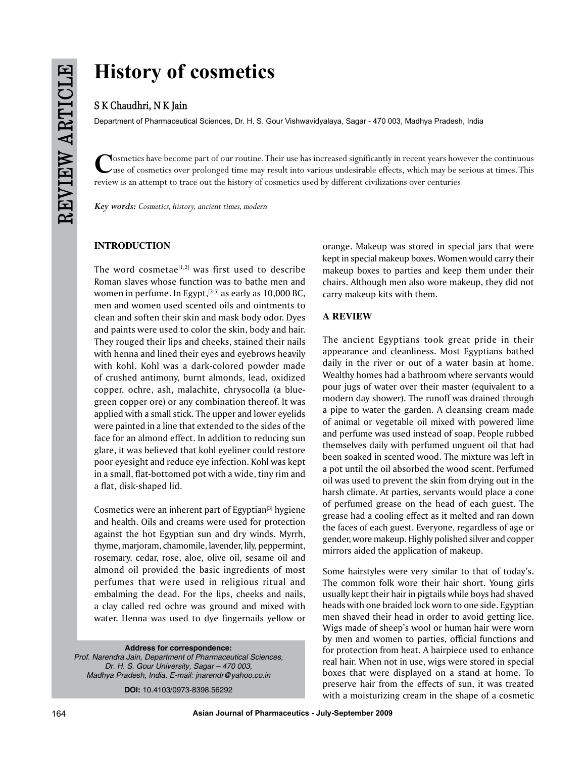# **History of cosmetics**

## **S K Chaudhri, N K Jain**

Department of Pharmaceutical Sciences, Dr. H. S. Gour Vishwavidyalaya, Sagar - 470 003, Madhya Pradesh, India

**C**osmetics have become part of our routine. Their use has increased significantly in recent years however the continuous use of cosmetics over prolonged time may result into various undesirable effects, which may be serious at times. This review is an attempt to trace out the history of cosmetics used by different civilizations over centuries

*Key words: Cosmetics, history, ancient times, modern*

## **INTRODUCTION**

The word cosmetae $[1,2]$  was first used to describe Roman slaves whose function was to bathe men and women in perfume. In Egypt,  $[3-5]$  as early as 10,000 BC, men and women used scented oils and ointments to clean and soften their skin and mask body odor. Dyes and paints were used to color the skin, body and hair. They rouged their lips and cheeks, stained their nails with henna and lined their eyes and eyebrows heavily with kohl. Kohl was a dark-colored powder made of crushed antimony, burnt almonds, lead, oxidized copper, ochre, ash, malachite, chrysocolla (a bluegreen copper ore) or any combination thereof. It was applied with a small stick. The upper and lower eyelids were painted in a line that extended to the sides of the face for an almond effect. In addition to reducing sun glare, it was believed that kohl eyeliner could restore poor eyesight and reduce eye infection. Kohl was kept in a small, flat-bottomed pot with a wide, tiny rim and a flat, disk-shaped lid.

Cosmetics were an inherent part of Egyptian<sup>[3]</sup> hygiene and health. Oils and creams were used for protection against the hot Egyptian sun and dry winds. Myrrh, thyme, marjoram, chamomile, lavender, lily, peppermint, rosemary, cedar, rose, aloe, olive oil, sesame oil and almond oil provided the basic ingredients of most perfumes that were used in religious ritual and embalming the dead. For the lips, cheeks and nails, a clay called red ochre was ground and mixed with water. Henna was used to dye fingernails yellow or

**Address for correspondence:** *Prof. Narendra Jain, Department of Pharmaceutical Sciences, Dr. H. S. Gour University, Sagar – 470 003, Madhya Pradesh, India. E-mail: jnarendr@yahoo.co.in*

**DOI:** 10.4103/0973-8398.56292

orange. Makeup was stored in special jars that were kept in special makeup boxes. Women would carry their makeup boxes to parties and keep them under their chairs. Although men also wore makeup, they did not carry makeup kits with them.

## **A REVIEW**

The ancient Egyptians took great pride in their appearance and cleanliness. Most Egyptians bathed daily in the river or out of a water basin at home. Wealthy homes had a bathroom where servants would pour jugs of water over their master (equivalent to a modern day shower). The runoff was drained through a pipe to water the garden. A cleansing cream made of animal or vegetable oil mixed with powered lime and perfume was used instead of soap. People rubbed themselves daily with perfumed unguent oil that had been soaked in scented wood. The mixture was left in a pot until the oil absorbed the wood scent. Perfumed oil was used to prevent the skin from drying out in the harsh climate. At parties, servants would place a cone of perfumed grease on the head of each guest. The grease had a cooling effect as it melted and ran down the faces of each guest. Everyone, regardless of age or gender, wore makeup. Highly polished silver and copper mirrors aided the application of makeup.

Some hairstyles were very similar to that of today's. The common folk wore their hair short. Young girls usually kept their hair in pigtails while boys had shaved heads with one braided lock worn to one side. Egyptian men shaved their head in order to avoid getting lice. Wigs made of sheep's wool or human hair were worn by men and women to parties, official functions and for protection from heat. A hairpiece used to enhance real hair. When not in use, wigs were stored in special boxes that were displayed on a stand at home. To preserve hair from the effects of sun, it was treated with a moisturizing cream in the shape of a cosmetic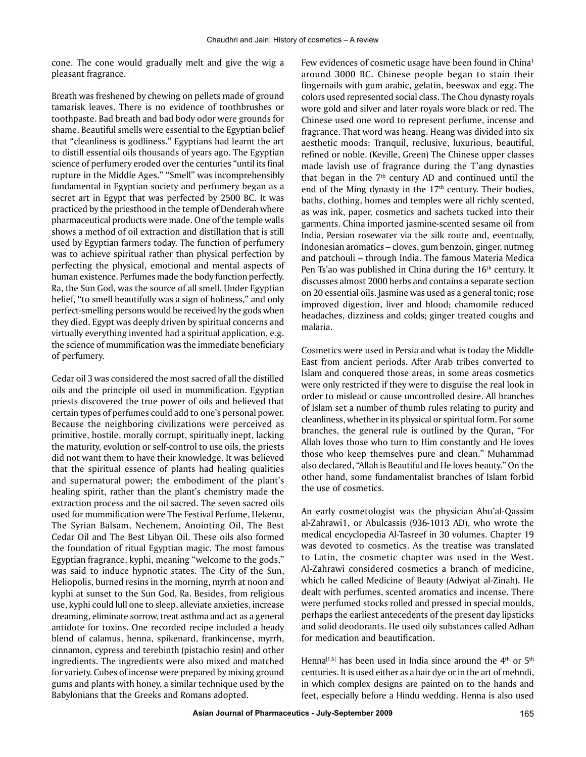cone. The cone would gradually melt and give the wig a pleasant fragrance.

Breath was freshened by chewing on pellets made of ground tamarisk leaves. There is no evidence of toothbrushes or toothpaste. Bad breath and bad body odor were grounds for shame. Beautiful smells were essential to the Egyptian belief that "cleanliness is godliness." Egyptians had learnt the art to distill essential oils thousands of years ago. The Egyptian science of perfumery eroded over the centuries "until its final rupture in the Middle Ages." "Smell" was incomprehensibly fundamental in Egyptian society and perfumery began as a secret art in Egypt that was perfected by 2500 BC. It was practiced by the priesthood in the temple of Denderah where pharmaceutical products were made. One of the temple walls shows a method of oil extraction and distillation that is still used by Egyptian farmers today. The function of perfumery was to achieve spiritual rather than physical perfection by perfecting the physical, emotional and mental aspects of human existence. Perfumes made the body function perfectly. Ra, the Sun God, was the source of all smell. Under Egyptian belief, "to smell beautifully was a sign of holiness," and only perfect-smelling persons would be received by the gods when they died. Egypt was deeply driven by spiritual concerns and virtually everything invented had a spiritual application, e.g. the science of mummification was the immediate beneficiary of perfumery.

Cedar oil 3 was considered the most sacred of all the distilled oils and the principle oil used in mummification. Egyptian priests discovered the true power of oils and believed that certain types of perfumes could add to one's personal power. Because the neighboring civilizations were perceived as primitive, hostile, morally corrupt, spiritually inept, lacking the maturity, evolution or self-control to use oils, the priests did not want them to have their knowledge. It was believed that the spiritual essence of plants had healing qualities and supernatural power; the embodiment of the plant's healing spirit, rather than the plant's chemistry made the extraction process and the oil sacred. The seven sacred oils used for mummification were The Festival Perfume, Hekenu, The Syrian Balsam, Nechenem, Anointing Oil, The Best Cedar Oil and The Best Libyan Oil. These oils also formed the foundation of ritual Egyptian magic. The most famous Egyptian fragrance, kyphi, meaning "welcome to the gods," was said to induce hypnotic states. The City of the Sun, Heliopolis, burned resins in the morning, myrrh at noon and kyphi at sunset to the Sun God, Ra. Besides, from religious use, kyphi could lull one to sleep, alleviate anxieties, increase dreaming, eliminate sorrow, treat asthma and act as a general antidote for toxins. One recorded recipe included a heady blend of calamus, henna, spikenard, frankincense, myrrh, cinnamon, cypress and terebinth (pistachio resin) and other ingredients. The ingredients were also mixed and matched for variety. Cubes of incense were prepared by mixing ground gums and plants with honey, a similar technique used by the Babylonians that the Greeks and Romans adopted.

Few evidences of cosmetic usage have been found in China<sup>1</sup> around 3000 BC. Chinese people began to stain their fingernails with gum arabic, gelatin, beeswax and egg. The colors used represented social class. The Chou dynasty royals wore gold and silver and later royals wore black or red. The Chinese used one word to represent perfume, incense and fragrance. That word was heang. Heang was divided into six aesthetic moods: Tranquil, reclusive, luxurious, beautiful, refined or noble. (Keville, Green) The Chinese upper classes made lavish use of fragrance during the T'ang dynasties that began in the  $7<sup>th</sup>$  century AD and continued until the end of the Ming dynasty in the  $17<sup>th</sup>$  century. Their bodies, baths, clothing, homes and temples were all richly scented, as was ink, paper, cosmetics and sachets tucked into their garments. China imported jasmine-scented sesame oil from India, Persian rosewater via the silk route and, eventually, Indonesian aromatics – cloves, gum benzoin, ginger, nutmeg and patchouli – through India. The famous Materia Medica Pen Ts'ao was published in China during the 16<sup>th</sup> century. It discusses almost 2000 herbs and contains a separate section on 20 essential oils. Jasmine was used as a general tonic; rose improved digestion, liver and blood; chamomile reduced headaches, dizziness and colds; ginger treated coughs and malaria.

Cosmetics were used in Persia and what is today the Middle East from ancient periods. After Arab tribes converted to Islam and conquered those areas, in some areas cosmetics were only restricted if they were to disguise the real look in order to mislead or cause uncontrolled desire. All branches of Islam set a number of thumb rules relating to purity and cleanliness, whether in its physical or spiritual form. For some branches, the general rule is outlined by the Quran, "For Allah loves those who turn to Him constantly and He loves those who keep themselves pure and clean." Muhammad also declared, "Allah is Beautiful and He loves beauty." On the other hand, some fundamentalist branches of Islam forbid the use of cosmetics.

An early cosmetologist was the physician Abu'al-Qassim al-Zahrawi1, or Abulcassis (936-1013 AD), who wrote the medical encyclopedia Al-Tasreef in 30 volumes. Chapter 19 was devoted to cosmetics. As the treatise was translated to Latin, the cosmetic chapter was used in the West. Al-Zahrawi considered cosmetics a branch of medicine, which he called Medicine of Beauty (Adwiyat al-Zinah). He dealt with perfumes, scented aromatics and incense. There were perfumed stocks rolled and pressed in special moulds, perhaps the earliest antecedents of the present day lipsticks and solid deodorants. He used oily substances called Adhan for medication and beautification.

Henna<sup>[1,6]</sup> has been used in India since around the  $4<sup>th</sup>$  or  $5<sup>th</sup>$ centuries. It is used either as a hair dye or in the art of mehndi, in which complex designs are painted on to the hands and feet, especially before a Hindu wedding. Henna is also used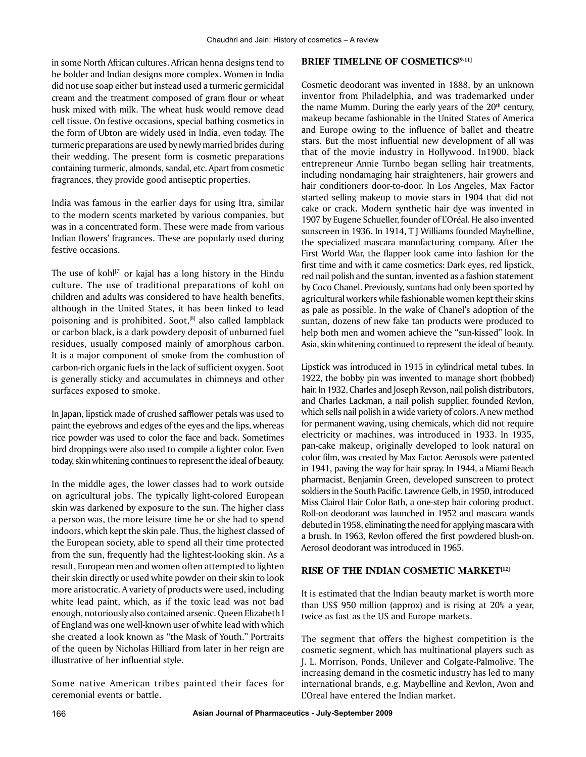in some North African cultures. African henna designs tend to be bolder and Indian designs more complex. Women in India did not use soap either but instead used a turmeric germicidal cream and the treatment composed of gram flour or wheat husk mixed with milk. The wheat husk would remove dead cell tissue. On festive occasions, special bathing cosmetics in the form of Ubton are widely used in India, even today. The turmeric preparations are used by newly married brides during their wedding. The present form is cosmetic preparations containing turmeric, almonds, sandal, etc. Apart from cosmetic fragrances, they provide good antiseptic properties.

India was famous in the earlier days for using Itra, similar to the modern scents marketed by various companies, but was in a concentrated form. These were made from various Indian flowers' fragrances. These are popularly used during festive occasions.

The use of kohl $[7]$  or kajal has a long history in the Hindu culture. The use of traditional preparations of kohl on children and adults was considered to have health benefits, although in the United States, it has been linked to lead poisoning and is prohibited. Soot,<sup>[8]</sup> also called lampblack or carbon black, is a dark powdery deposit of unburned fuel residues, usually composed mainly of amorphous carbon. It is a major component of smoke from the combustion of carbon-rich organic fuels in the lack of sufficient oxygen. Soot is generally sticky and accumulates in chimneys and other surfaces exposed to smoke.

In Japan, lipstick made of crushed safflower petals was used to paint the eyebrows and edges of the eyes and the lips, whereas rice powder was used to color the face and back. Sometimes bird droppings were also used to compile a lighter color. Even today, skin whitening continues to represent the ideal of beauty.

In the middle ages, the lower classes had to work outside on agricultural jobs. The typically light-colored European skin was darkened by exposure to the sun. The higher class a person was, the more leisure time he or she had to spend indoors, which kept the skin pale. Thus, the highest classed of the European society, able to spend all their time protected from the sun, frequently had the lightest-looking skin. As a result, European men and women often attempted to lighten their skin directly or used white powder on their skin to look more aristocratic. A variety of products were used, including white lead paint, which, as if the toxic lead was not bad enough, notoriously also contained arsenic. Queen Elizabeth I of England was one well-known user of white lead with which she created a look known as "the Mask of Youth." Portraits of the queen by Nicholas Hilliard from later in her reign are illustrative of her influential style.

Some native American tribes painted their faces for ceremonial events or battle.

#### **BRIEF TIMELINE OF COSMETICS<sup>[9-11]</sup>**

Cosmetic deodorant was invented in 1888, by an unknown inventor from Philadelphia, and was trademarked under the name Mumm. During the early years of the  $20<sup>th</sup>$  century, makeup became fashionable in the United States of America and Europe owing to the influence of ballet and theatre stars. But the most influential new development of all was that of the movie industry in Hollywood. In1900, black entrepreneur Annie Turnbo began selling hair treatments, including nondamaging hair straighteners, hair growers and hair conditioners door-to-door. In Los Angeles, Max Factor started selling makeup to movie stars in 1904 that did not cake or crack. Modern synthetic hair dye was invented in 1907 by Eugene Schueller, founder of L'Oréal. He also invented sunscreen in 1936. In 1914, T J Williams founded Maybelline, the specialized mascara manufacturing company. After the First World War, the flapper look came into fashion for the first time and with it came cosmetics: Dark eyes, red lipstick, red nail polish and the suntan, invented as a fashion statement by Coco Chanel. Previously, suntans had only been sported by agricultural workers while fashionable women kept their skins as pale as possible. In the wake of Chanel's adoption of the suntan, dozens of new fake tan products were produced to help both men and women achieve the "sun-kissed" look. In Asia, skin whitening continued to represent the ideal of beauty.

Lipstick was introduced in 1915 in cylindrical metal tubes. In 1922, the bobby pin was invented to manage short (bobbed) hair. In 1932, Charles and Joseph Revson, nail polish distributors, and Charles Lackman, a nail polish supplier, founded Revlon, which sells nail polish in a wide variety of colors. A new method for permanent waving, using chemicals, which did not require electricity or machines, was introduced in 1933. In 1935, pan-cake makeup, originally developed to look natural on color film, was created by Max Factor. Aerosols were patented in 1941, paving the way for hair spray. In 1944, a Miami Beach pharmacist, Benjamin Green, developed sunscreen to protect soldiers in the South Pacific. Lawrence Gelb, in 1950, introduced Miss Clairol Hair Color Bath, a one-step hair coloring product. Roll-on deodorant was launched in 1952 and mascara wands debuted in 1958, eliminating the need for applying mascara with a brush. In 1963, Revlon offered the first powdered blush-on. Aerosol deodorant was introduced in 1965.

### **RISE OF THE INDIAN COSMETIC MARKET[12]**

It is estimated that the Indian beauty market is worth more than US\$ 950 million (approx) and is rising at 20% a year, twice as fast as the US and Europe markets.

The segment that offers the highest competition is the cosmetic segment, which has multinational players such as J. L. Morrison, Ponds, Unilever and Colgate-Palmolive. The increasing demand in the cosmetic industry has led to many international brands, e.g. Maybelline and Revlon, Avon and L'Oreal have entered the Indian market.